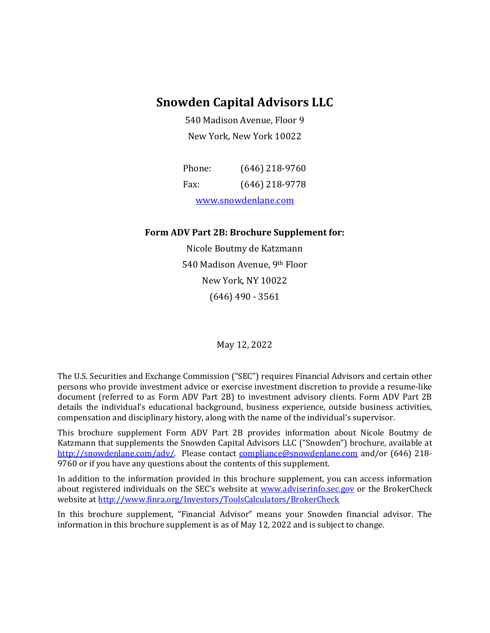## **Snowden Capital Advisors LLC**

540 Madison Avenue, Floor 9 New York, New York 10022

| Phone:              | $(646)$ 218-9760 |
|---------------------|------------------|
| Fax:                | $(646)$ 218-9778 |
| www.snowdenlane.com |                  |

#### **Form ADV Part 2B: Brochure Supplement for:**

Nicole Boutmy de Katzmann 540 Madison Avenue, 9th Floor New York, NY 10022 (646) 490 - 3561

May 12, 2022

The U.S. Securities and Exchange Commission ("SEC") requires Financial Advisors and certain other persons who provide investment advice or exercise investment discretion to provide a resume-like document (referred to as Form ADV Part 2B) to investment advisory clients. Form ADV Part 2B details the individual's educational background, business experience, outside business activities, compensation and disciplinary history, along with the name of the individual's supervisor.

This brochure supplement Form ADV Part 2B provides information about Nicole Boutmy de Katzmann that supplements the Snowden Capital Advisors LLC ("Snowden") brochure, available at [http://snowdenlane.com/adv/.](http://snowdenlane.com/adv/) Please contact [compliance@snowdenlane.com](mailto:compliance@snowdenlane.com) and/or (646) 218-9760 or if you have any questions about the contents of this supplement.

In addition to the information provided in this brochure supplement, you can access information about registered individuals on the SEC's website at [www.adviserinfo.sec.gov](http://www.adviserinfo.sec.gov/) or the BrokerCheck website a[t http://www.finra.org/Investors/ToolsCalculators/BrokerCheck](http://www.finra.org/Investors/ToolsCalculators/BrokerCheck)

In this brochure supplement, "Financial Advisor" means your Snowden financial advisor. The information in this brochure supplement is as of May 12, 2022 and is subject to change.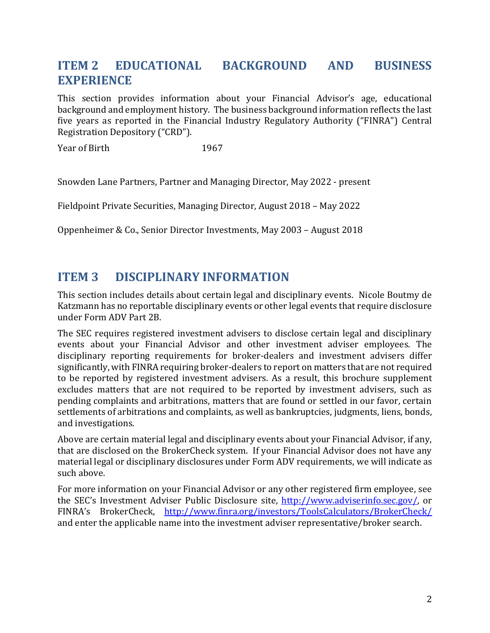# **ITEM 2 EDUCATIONAL BACKGROUND AND BUSINESS EXPERIENCE**

This section provides information about your Financial Advisor's age, educational background and employment history. The business background information reflects the last five years as reported in the Financial Industry Regulatory Authority ("FINRA") Central Registration Depository ("CRD").

Year of Birth 1967

Snowden Lane Partners, Partner and Managing Director, May 2022 - present

Fieldpoint Private Securities, Managing Director, August 2018 – May 2022

Oppenheimer & Co., Senior Director Investments, May 2003 – August 2018

#### **ITEM 3 DISCIPLINARY INFORMATION**

This section includes details about certain legal and disciplinary events. Nicole Boutmy de Katzmann has no reportable disciplinary events or other legal events that require disclosure under Form ADV Part 2B.

The SEC requires registered investment advisers to disclose certain legal and disciplinary events about your Financial Advisor and other investment adviser employees. The disciplinary reporting requirements for broker-dealers and investment advisers differ significantly, with FINRA requiring broker-dealers to report on matters that are not required to be reported by registered investment advisers. As a result, this brochure supplement excludes matters that are not required to be reported by investment advisers, such as pending complaints and arbitrations, matters that are found or settled in our favor, certain settlements of arbitrations and complaints, as well as bankruptcies, judgments, liens, bonds, and investigations.

Above are certain material legal and disciplinary events about your Financial Advisor, if any, that are disclosed on the BrokerCheck system. If your Financial Advisor does not have any material legal or disciplinary disclosures under Form ADV requirements, we will indicate as such above.

For more information on your Financial Advisor or any other registered firm employee, see the SEC's Investment Adviser Public Disclosure site, [http://www.adviserinfo.sec.gov/,](http://www.adviserinfo.sec.gov/) or FINRA's BrokerCheck, <http://www.finra.org/investors/ToolsCalculators/BrokerCheck/> and enter the applicable name into the investment adviser representative/broker search.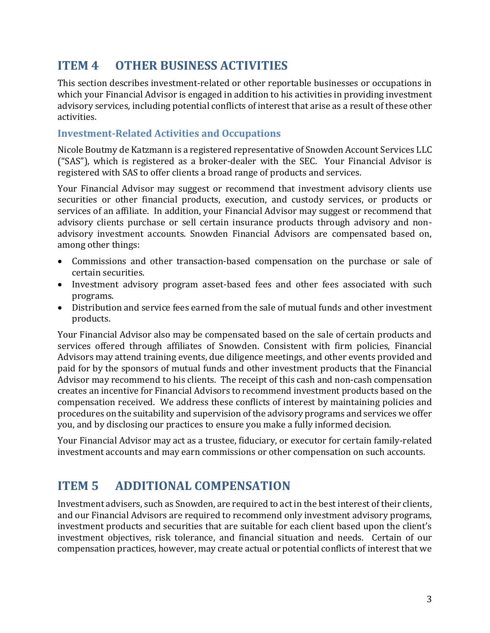# **ITEM 4 OTHER BUSINESS ACTIVITIES**

This section describes investment-related or other reportable businesses or occupations in which your Financial Advisor is engaged in addition to his activities in providing investment advisory services, including potential conflicts of interest that arise as a result of these other activities.

#### **Investment-Related Activities and Occupations**

Nicole Boutmy de Katzmann is a registered representative of Snowden Account Services LLC ("SAS"), which is registered as a broker-dealer with the SEC. Your Financial Advisor is registered with SAS to offer clients a broad range of products and services.

Your Financial Advisor may suggest or recommend that investment advisory clients use securities or other financial products, execution, and custody services, or products or services of an affiliate. In addition, your Financial Advisor may suggest or recommend that advisory clients purchase or sell certain insurance products through advisory and nonadvisory investment accounts. Snowden Financial Advisors are compensated based on, among other things:

- Commissions and other transaction-based compensation on the purchase or sale of certain securities.
- Investment advisory program asset-based fees and other fees associated with such programs.
- Distribution and service fees earned from the sale of mutual funds and other investment products.

Your Financial Advisor also may be compensated based on the sale of certain products and services offered through affiliates of Snowden. Consistent with firm policies, Financial Advisors may attend training events, due diligence meetings, and other events provided and paid for by the sponsors of mutual funds and other investment products that the Financial Advisor may recommend to his clients. The receipt of this cash and non-cash compensation creates an incentive for Financial Advisors to recommend investment products based on the compensation received. We address these conflicts of interest by maintaining policies and procedures on the suitability and supervision of the advisory programs and services we offer you, and by disclosing our practices to ensure you make a fully informed decision.

Your Financial Advisor may act as a trustee, fiduciary, or executor for certain family-related investment accounts and may earn commissions or other compensation on such accounts.

### **ITEM 5 ADDITIONAL COMPENSATION**

Investment advisers, such as Snowden, are required to act in the best interest of their clients, and our Financial Advisors are required to recommend only investment advisory programs, investment products and securities that are suitable for each client based upon the client's investment objectives, risk tolerance, and financial situation and needs. Certain of our compensation practices, however, may create actual or potential conflicts of interest that we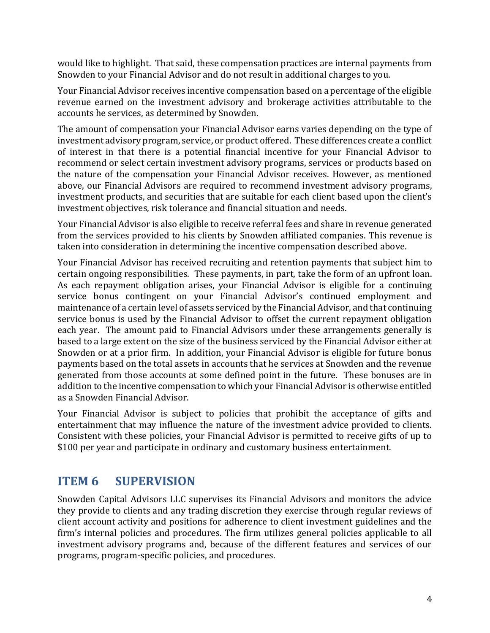would like to highlight. That said, these compensation practices are internal payments from Snowden to your Financial Advisor and do not result in additional charges to you.

Your Financial Advisor receives incentive compensation based on a percentage of the eligible revenue earned on the investment advisory and brokerage activities attributable to the accounts he services, as determined by Snowden.

The amount of compensation your Financial Advisor earns varies depending on the type of investment advisory program, service, or product offered. These differences create a conflict of interest in that there is a potential financial incentive for your Financial Advisor to recommend or select certain investment advisory programs, services or products based on the nature of the compensation your Financial Advisor receives. However, as mentioned above, our Financial Advisors are required to recommend investment advisory programs, investment products, and securities that are suitable for each client based upon the client's investment objectives, risk tolerance and financial situation and needs.

Your Financial Advisor is also eligible to receive referral fees and share in revenue generated from the services provided to his clients by Snowden affiliated companies. This revenue is taken into consideration in determining the incentive compensation described above.

Your Financial Advisor has received recruiting and retention payments that subject him to certain ongoing responsibilities. These payments, in part, take the form of an upfront loan. As each repayment obligation arises, your Financial Advisor is eligible for a continuing service bonus contingent on your Financial Advisor's continued employment and maintenance of a certain level of assets serviced by the Financial Advisor, and that continuing service bonus is used by the Financial Advisor to offset the current repayment obligation each year. The amount paid to Financial Advisors under these arrangements generally is based to a large extent on the size of the business serviced by the Financial Advisor either at Snowden or at a prior firm. In addition, your Financial Advisor is eligible for future bonus payments based on the total assets in accounts that he services at Snowden and the revenue generated from those accounts at some defined point in the future. These bonuses are in addition to the incentive compensation to which your Financial Advisor is otherwise entitled as a Snowden Financial Advisor.

Your Financial Advisor is subject to policies that prohibit the acceptance of gifts and entertainment that may influence the nature of the investment advice provided to clients. Consistent with these policies, your Financial Advisor is permitted to receive gifts of up to \$100 per year and participate in ordinary and customary business entertainment.

# **ITEM 6 SUPERVISION**

Snowden Capital Advisors LLC supervises its Financial Advisors and monitors the advice they provide to clients and any trading discretion they exercise through regular reviews of client account activity and positions for adherence to client investment guidelines and the firm's internal policies and procedures. The firm utilizes general policies applicable to all investment advisory programs and, because of the different features and services of our programs, program-specific policies, and procedures.